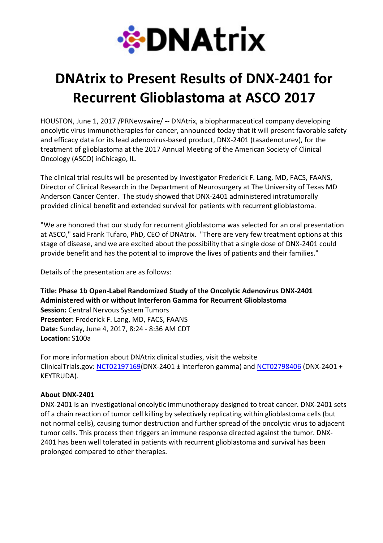

## DNAtrix to Present Results of DNX-2401 for Recurrent Glioblastoma at ASCO 2017

HOUSTON, June 1, 2017 /PRNewswire/ -- DNAtrix, a biopharmaceutical company developing oncolytic virus immunotherapies for cancer, announced today that it will present favorable safety and efficacy data for its lead adenovirus-based product, DNX-2401 (tasadenoturev), for the treatment of glioblastoma at the 2017 Annual Meeting of the American Society of Clinical Oncology (ASCO) inChicago, IL.

The clinical trial results will be presented by investigator Frederick F. Lang, MD, FACS, FAANS, Director of Clinical Research in the Department of Neurosurgery at The University of Texas MD Anderson Cancer Center. The study showed that DNX-2401 administered intratumorally provided clinical benefit and extended survival for patients with recurrent glioblastoma.

"We are honored that our study for recurrent glioblastoma was selected for an oral presentation at ASCO," said Frank Tufaro, PhD, CEO of DNAtrix. "There are very few treatment options at this stage of disease, and we are excited about the possibility that a single dose of DNX-2401 could provide benefit and has the potential to improve the lives of patients and their families."

Details of the presentation are as follows:

Title: Phase 1b Open-Label Randomized Study of the Oncolytic Adenovirus DNX-2401 Administered with or without Interferon Gamma for Recurrent Glioblastoma Session: Central Nervous System Tumors Presenter: Frederick F. Lang, MD, FACS, FAANS Date: Sunday, June 4, 2017, 8:24 - 8:36 AM CDT Location: S100a

For more information about DNAtrix clinical studies, visit the website ClinicalTrials.gov: NCT02197169(DNX-2401  $\pm$  interferon gamma) and NCT02798406 (DNX-2401 + KEYTRUDA).

## About DNX-2401

DNX-2401 is an investigational oncolytic immunotherapy designed to treat cancer. DNX-2401 sets off a chain reaction of tumor cell killing by selectively replicating within glioblastoma cells (but not normal cells), causing tumor destruction and further spread of the oncolytic virus to adjacent tumor cells. This process then triggers an immune response directed against the tumor. DNX-2401 has been well tolerated in patients with recurrent glioblastoma and survival has been prolonged compared to other therapies.